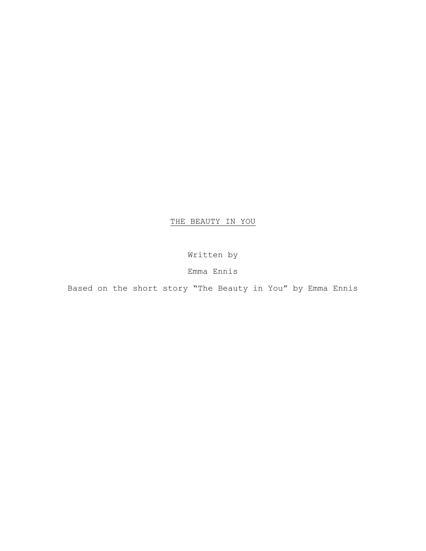# THE BEAUTY IN YOU

Written by

Emma Ennis

Based on the short story "The Beauty in You" by Emma Ennis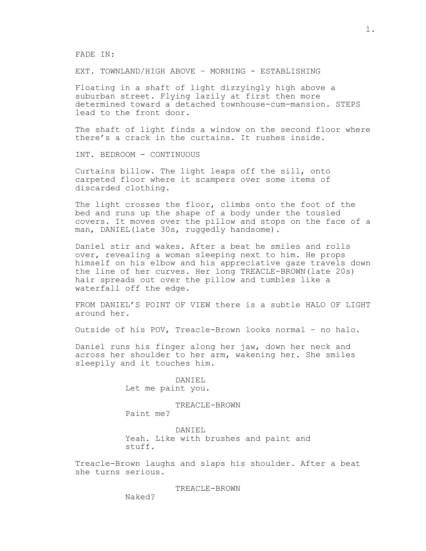FADE IN:

EXT. TOWNLAND/HIGH ABOVE – MORNING - ESTABLISHING

Floating in a shaft of light dizzyingly high above a suburban street. Flying lazily at first then more determined toward a detached townhouse-cum-mansion. STEPS lead to the front door.

The shaft of light finds a window on the second floor where there's a crack in the curtains. It rushes inside.

INT. BEDROOM - CONTINUOUS

Curtains billow. The light leaps off the sill, onto carpeted floor where it scampers over some items of discarded clothing.

The light crosses the floor, climbs onto the foot of the bed and runs up the shape of a body under the tousled covers. It moves over the pillow and stops on the face of a man, DANIEL(late 30s, ruggedly handsome).

Daniel stir and wakes. After a beat he smiles and rolls over, revealing a woman sleeping next to him. He props himself on his elbow and his appreciative gaze travels down the line of her curves. Her long TREACLE-BROWN(late 20s) hair spreads out over the pillow and tumbles like a waterfall off the edge.

FROM DANIEL'S POINT OF VIEW there is a subtle HALO OF LIGHT around her.

Outside of his POV, Treacle-Brown looks normal – no halo.

Daniel runs his finger along her jaw, down her neck and across her shoulder to her arm, wakening her. She smiles sleepily and it touches him.

> DANIEL Let me paint you.

TREACLE-BROWN Paint me?

DANIEL Yeah. Like with brushes and paint and stuff.

Treacle-Brown laughs and slaps his shoulder. After a beat she turns serious.

TREACLE-BROWN

Naked?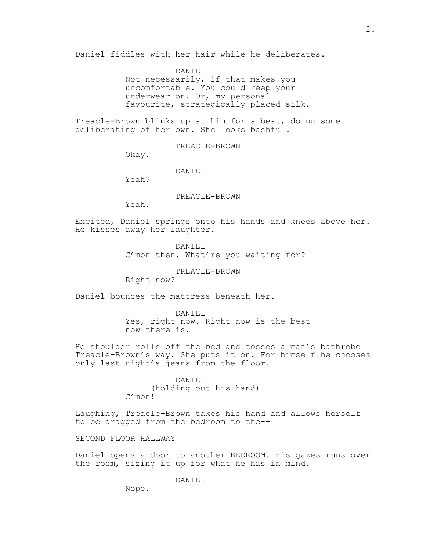Daniel fiddles with her hair while he deliberates.

DANIEL Not necessarily, if that makes you uncomfortable. You could keep your underwear on. Or, my personal favourite, strategically placed silk.

Treacle-Brown blinks up at him for a beat, doing some deliberating of her own. She looks bashful.

TREACLE-BROWN

Okay.

DANIEL

Yeah?

TREACLE-BROWN

Yeah.

Excited, Daniel springs onto his hands and knees above her. He kisses away her laughter.

> DANIEL C'mon then. What're you waiting for?

> > TREACLE-BROWN

Right now?

Daniel bounces the mattress beneath her.

DANIEL Yes, right now. Right now is the best now there is.

He shoulder rolls off the bed and tosses a man's bathrobe Treacle-Brown's way. She puts it on. For himself he chooses only last night's jeans from the floor.

> DANIEL (holding out his hand) C'mon!

Laughing, Treacle-Brown takes his hand and allows herself to be dragged from the bedroom to the--

SECOND FLOOR HALLWAY

Daniel opens a door to another BEDROOM. His gazes runs over the room, sizing it up for what he has in mind.

DANIEL

Nope.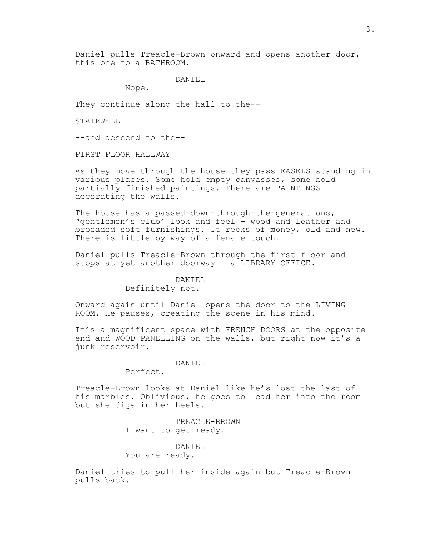Daniel pulls Treacle-Brown onward and opens another door, this one to a BATHROOM.

## DANIEL

Nope.

They continue along the hall to the--

STAIRWELL

--and descend to the--

FIRST FLOOR HALLWAY

As they move through the house they pass EASELS standing in various places. Some hold empty canvasses, some hold partially finished paintings. There are PAINTINGS decorating the walls.

The house has a passed-down-through-the-generations, 'gentlemen's club' look and feel – wood and leather and brocaded soft furnishings. It reeks of money, old and new. There is little by way of a female touch.

Daniel pulls Treacle-Brown through the first floor and stops at yet another doorway – a LIBRARY OFFICE.

# DANIEL

## Definitely not.

Onward again until Daniel opens the door to the LIVING ROOM. He pauses, creating the scene in his mind.

It's a magnificent space with FRENCH DOORS at the opposite end and WOOD PANELLING on the walls, but right now it's a junk reservoir.

#### DANIEL

Perfect.

Treacle-Brown looks at Daniel like he's lost the last of his marbles. Oblivious, he goes to lead her into the room but she digs in her heels.

> TREACLE-BROWN I want to get ready.

> > DANIEL

You are ready.

Daniel tries to pull her inside again but Treacle-Brown pulls back.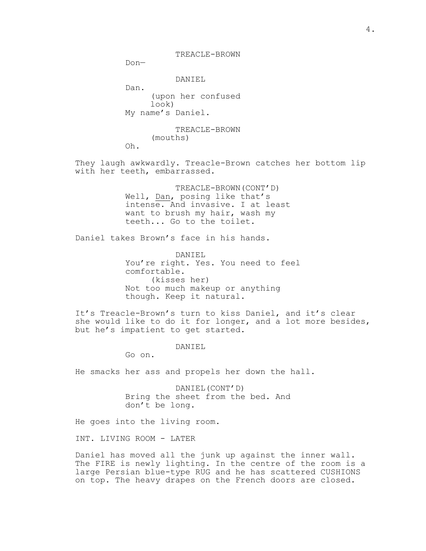Don—

DANIEL

Dan. (upon her confused look) My name's Daniel.

> TREACLE-BROWN (mouths)

Oh.

They laugh awkwardly. Treacle-Brown catches her bottom lip with her teeth, embarrassed.

> TREACLE-BROWN(CONT'D) Well, Dan, posing like that's intense. And invasive. I at least want to brush my hair, wash my teeth... Go to the toilet.

Daniel takes Brown's face in his hands.

DANIEL You're right. Yes. You need to feel comfortable. (kisses her) Not too much makeup or anything though. Keep it natural.

It's Treacle-Brown's turn to kiss Daniel, and it's clear she would like to do it for longer, and a lot more besides, but he's impatient to get started.

DANIEL

Go on.

He smacks her ass and propels her down the hall.

DANIEL(CONT'D) Bring the sheet from the bed. And don't be long.

He goes into the living room.

INT. LIVING ROOM - LATER

Daniel has moved all the junk up against the inner wall. The FIRE is newly lighting. In the centre of the room is a large Persian blue-type RUG and he has scattered CUSHIONS on top. The heavy drapes on the French doors are closed.